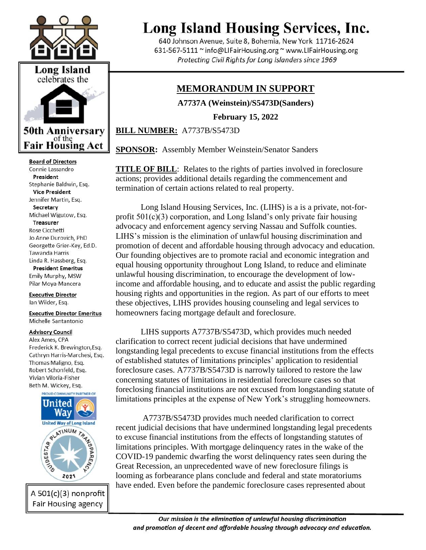



**Board of Directors** Connie Lassandro President Stephanie Baldwin, Esq. **Vice President** Jennifer Martin, Esq. Secretary Michael Wigutow, Esq. **Treasurer** Rose Cicchetti Jo Anne Durovich, PhD Georgette Grier-Key, Ed.D. Tawanda Harris Linda R. Hassberg, Esq. **President Emeritus** 

Emily Murphy, MSW Pilar Moya-Mancera

**Executive Director** Ian Wilder, Esq.

**Executive Director Emeritus** Michelle Santantonio

## **Advisory Council**

Alex Ames, CPA Frederick K. Brewington, Esq. Cathryn Harris-Marchesi, Esq. Thomas Maligno, Esq. Robert Schonfeld, Esq. Vivian Viloria-Fisher Beth M. Wickey, Esq.



A 501(c)(3) nonprofit Fair Housing agency

## **Long Island Housing Services, Inc.**

640 Johnson Avenue, Suite 8, Bohemia, New York 11716-2624 631-567-5111 ~ info@LIFairHousing.org ~ www.LIFairHousing.org Protecting Civil Rights for Long Islanders since 1969

## **MEMORANDUM IN SUPPORT**

**A7737A (Weinstein)/S5473D(Sanders)**

**February 15, 2022** 

**BILL NUMBER:** A7737B/S5473D

**SPONSOR:** Assembly Member Weinstein/Senator Sanders

**TITLE OF BILL:** Relates to the rights of parties involved in foreclosure actions; provides additional details regarding the commencement and termination of certain actions related to real property.

Long Island Housing Services, Inc. (LIHS) is a is a private, not-forprofit  $501(c)(3)$  corporation, and Long Island's only private fair housing advocacy and enforcement agency serving Nassau and Suffolk counties. LIHS's mission is the elimination of unlawful housing discrimination and promotion of decent and affordable housing through advocacy and education. Our founding objectives are to promote racial and economic integration and equal housing opportunity throughout Long Island, to reduce and eliminate unlawful housing discrimination, to encourage the development of lowincome and affordable housing, and to educate and assist the public regarding housing rights and opportunities in the region. As part of our efforts to meet these objectives, LIHS provides housing counseling and legal services to homeowners facing mortgage default and foreclosure.

LIHS supports A7737B/S5473D, which provides much needed clarification to correct recent judicial decisions that have undermined longstanding legal precedents to excuse financial institutions from the effects of established statutes of limitations principles' application to residential foreclosure cases. A7737B/S5473D is narrowly tailored to restore the law concerning statutes of limitations in residential foreclosure cases so that foreclosing financial institutions are not excused from longstanding statute of limitations principles at the expense of New York's struggling homeowners.

A7737B/S5473D provides much needed clarification to correct recent judicial decisions that have undermined longstanding legal precedents to excuse financial institutions from the effects of longstanding statutes of limitations principles. With mortgage delinquency rates in the wake of the COVID-19 pandemic dwarfing the worst delinquency rates seen during the Great Recession, an unprecedented wave of new foreclosure filings is looming as forbearance plans conclude and federal and state moratoriums have ended. Even before the pandemic foreclosure cases represented about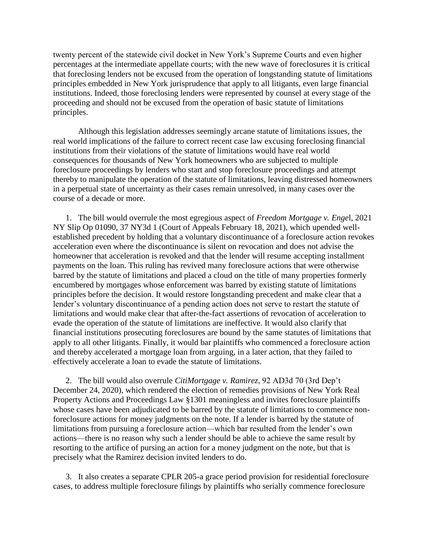twenty percent of the statewide civil docket in New York's Supreme Courts and even higher percentages at the intermediate appellate courts; with the new wave of foreclosures it is critical that foreclosing lenders not be excused from the operation of longstanding statute of limitations principles embedded in New York jurisprudence that apply to all litigants, even large financial institutions. Indeed, those foreclosing lenders were represented by counsel at every stage of the proceeding and should not be excused from the operation of basic statute of limitations principles.

Although this legislation addresses seemingly arcane statute of limitations issues, the real world implications of the failure to correct recent case law excusing foreclosing financial institutions from their violations of the statute of limitations would have real world consequences for thousands of New York homeowners who are subjected to multiple foreclosure proceedings by lenders who start and stop foreclosure proceedings and attempt thereby to manipulate the operation of the statute of limitations, leaving distressed homeowners in a perpetual state of uncertainty as their cases remain unresolved, in many cases over the course of a decade or more.

1. The bill would overrule the most egregious aspect of *Freedom Mortgage v. Enge*l, 2021 NY Slip Op 01090, 37 NY3d 1 (Court of Appeals February 18, 2021), which upended wellestablished precedent by holding that a voluntary discontinuance of a foreclosure action revokes acceleration even where the discontinuance is silent on revocation and does not advise the homeowner that acceleration is revoked and that the lender will resume accepting installment payments on the loan. This ruling has revived many foreclosure actions that were otherwise barred by the statute of limitations and placed a cloud on the title of many properties formerly encumbered by mortgages whose enforcement was barred by existing statute of limitations principles before the decision. It would restore longstanding precedent and make clear that a lender's voluntary discontinuance of a pending action does not serve to restart the statute of limitations and would make clear that after-the-fact assertions of revocation of acceleration to evade the operation of the statute of limitations are ineffective. It would also clarify that financial institutions prosecuting foreclosures are bound by the same statutes of limitations that apply to all other litigants. Finally, it would bar plaintiffs who commenced a foreclosure action and thereby accelerated a mortgage loan from arguing, in a later action, that they failed to effectively accelerate a loan to evade the statute of limitations.

2. The bill would also overrule *CitiMortgage v. Ramirez*, 92 AD3d 70 (3rd Dep't December 24, 2020), which rendered the election of remedies provisions of New York Real Property Actions and Proceedings Law §1301 meaningless and invites foreclosure plaintiffs whose cases have been adjudicated to be barred by the statute of limitations to commence nonforeclosure actions for money judgments on the note. If a lender is barred by the statute of limitations from pursuing a foreclosure action—which bar resulted from the lender's own actions—there is no reason why such a lender should be able to achieve the same result by resorting to the artifice of pursing an action for a money judgment on the note, but that is precisely what the Ramirez decision invited lenders to do.

3. It also creates a separate CPLR 205-a grace period provision for residential foreclosure cases, to address multiple foreclosure filings by plaintiffs who serially commence foreclosure